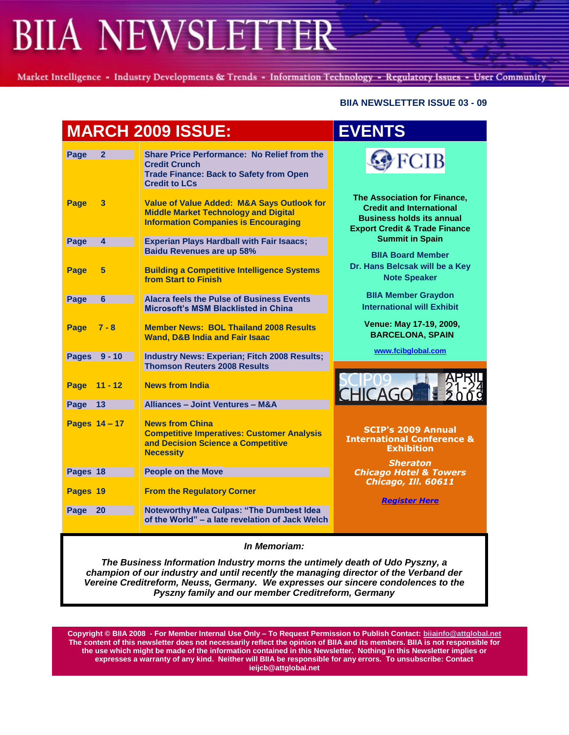Market Intelligence - Industry Developments & Trends - Information Technology - Regulatory Issues - User Community

#### **BIIA NEWSLETTER ISSUE 03 - 09**

| <b>MARCH 2009 ISSUE:</b> |                                                                                                                                                      | <b>EVENTS</b>                                                                                                                                   |
|--------------------------|------------------------------------------------------------------------------------------------------------------------------------------------------|-------------------------------------------------------------------------------------------------------------------------------------------------|
| Page<br>$\overline{2}$   | <b>Share Price Performance: No Relief from the</b><br><b>Credit Crunch</b><br><b>Trade Finance: Back to Safety from Open</b><br><b>Credit to LCs</b> | <b>FCIB</b>                                                                                                                                     |
| <b>Page</b><br>3         | <b>Value of Value Added: M&amp;A Says Outlook for</b><br><b>Middle Market Technology and Digital</b><br><b>Information Companies is Encouraging</b>  | The Association for Finance,<br><b>Credit and International</b><br><b>Business holds its annual</b><br><b>Export Credit &amp; Trade Finance</b> |
| Page<br>4                | <b>Experian Plays Hardball with Fair Isaacs;</b><br><b>Baidu Revenues are up 58%</b>                                                                 | <b>Summit in Spain</b>                                                                                                                          |
| Page<br>5                | <b>Building a Competitive Intelligence Systems</b><br>from Start to Finish                                                                           | <b>BIIA Board Member</b><br>Dr. Hans Belcsak will be a Key<br><b>Note Speaker</b>                                                               |
| Page<br>6                | <b>Alacra feels the Pulse of Business Events</b><br><b>Microsoft's MSM Blacklisted in China</b>                                                      | <b>BIIA Member Graydon</b><br><b>International will Exhibit</b>                                                                                 |
| Page<br>$7 - 8$          | <b>Member News: BOL Thailand 2008 Results</b><br><b>Wand, D&amp;B India and Fair Isaac</b>                                                           | Venue: May 17-19, 2009,<br><b>BARCELONA, SPAIN</b>                                                                                              |
| Pages 9 - 10             | <b>Industry News: Experian; Fitch 2008 Results;</b><br><b>Thomson Reuters 2008 Results</b>                                                           | www.fcibglobal.com                                                                                                                              |
| $11 - 12$<br>Page        | <b>News from India</b>                                                                                                                               | CHICAGO E                                                                                                                                       |
| Page<br>$-13$            | <b>Alliances - Joint Ventures - M&amp;A</b>                                                                                                          |                                                                                                                                                 |
| Pages 14 - 17            | <b>News from China</b><br><b>Competitive Imperatives: Customer Analysis</b><br>and Decision Science a Competitive<br><b>Necessity</b>                | <b>SCIP's 2009 Annual</b><br><b>International Conference &amp;</b><br><b>Exhibition</b>                                                         |
| Pages 18                 | <b>People on the Move</b>                                                                                                                            | <b>Sheraton</b><br><b>Chicago Hotel &amp; Towers</b>                                                                                            |
| Pages 19                 | <b>From the Regulatory Corner</b>                                                                                                                    | Chicago, Ill. 60611<br><b>Register Here</b>                                                                                                     |
| Page<br>20               | Noteworthy Mea Culpas: "The Dumbest Idea<br>of the World" - a late revelation of Jack Welch                                                          |                                                                                                                                                 |
| In Memoriam:             |                                                                                                                                                      |                                                                                                                                                 |

*The Business Information Industry morns the untimely death of Udo Pyszny, a champion of our industry and until recently the managing director of the Verband der Vereine Creditreform, Neuss, Germany. We expresses our sincere condolences to the Pyszny family and our member Creditreform, Germany*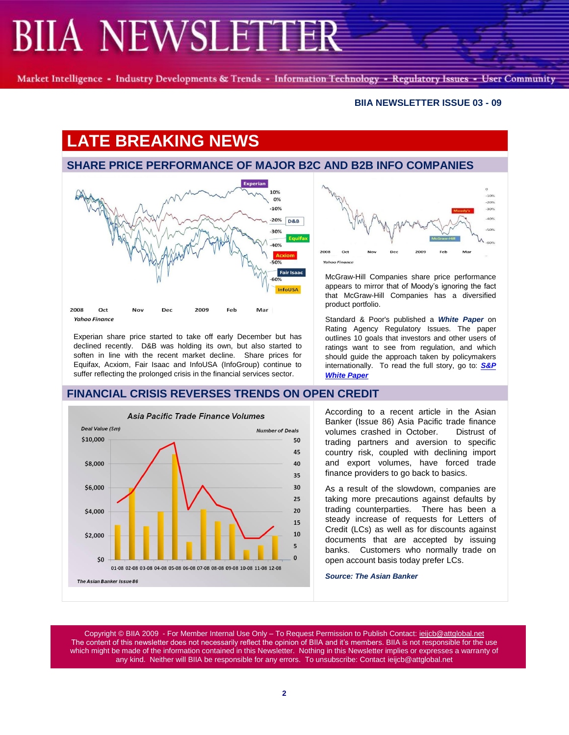Market Intelligence - Industry Developments & Trends - Information Technology - Regulatory Issues - User Community

#### **BIIA NEWSLETTER ISSUE 03 - 09**

# **LATE BREAKING NEWS**

### **SHARE PRICE PERFORMANCE OF MAJOR B2C AND B2B INFO COMPANIES**



Experian share price started to take off early December but has declined recently. D&B was holding its own, but also started to soften in line with the recent market decline. Share prices for Equifax, Acxiom, Fair Isaac and InfoUSA (InfoGroup) continue to suffer reflecting the prolonged crisis in the financial services sector.

### **FINANCIAL CRISIS REVERSES TRENDS ON OPEN CREDIT**





McGraw-Hill Companies share price performance appears to mirror that of Moody's ignoring the fact that McGraw-Hill Companies has a diversified product portfolio.

Standard & Poor's published a *White Paper* on Rating Agency Regulatory Issues. The paper outlines 10 goals that investors and other users of ratings want to see from regulation, and which should guide the approach taken by policymakers internationally. To read the full story, go to: *[S&P](http://www.mcgrawhill.com/releases/sandp/20090304.shtml)  [White Paper](http://www.mcgrawhill.com/releases/sandp/20090304.shtml)*

According to a recent article in the Asian Banker (Issue 86) Asia Pacific trade finance volumes crashed in October. Distrust of trading partners and aversion to specific country risk, coupled with declining import and export volumes, have forced trade finance providers to go back to basics.

As a result of the slowdown, companies are taking more precautions against defaults by trading counterparties. There has been a steady increase of requests for Letters of Credit (LCs) as well as for discounts against documents that are accepted by issuing banks. Customers who normally trade on open account basis today prefer LCs.

*Source: The Asian Banker*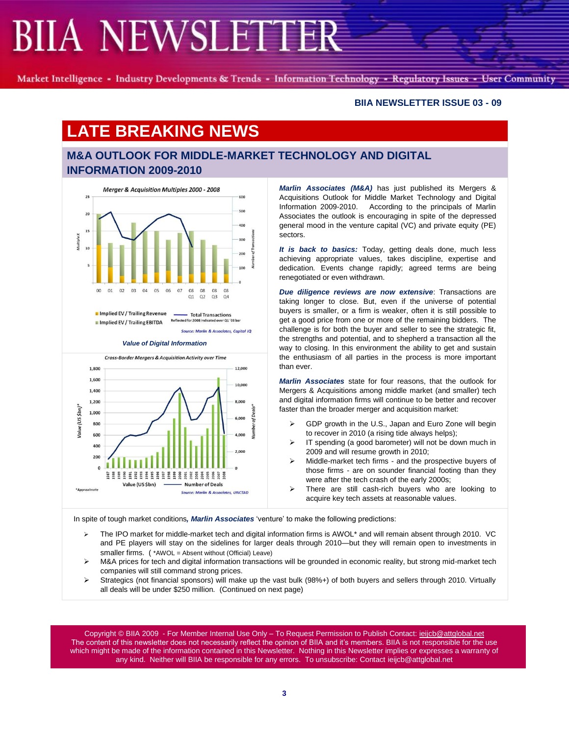Market Intelligence - Industry Developments & Trends - Information Technology - Regulatory Issues - User Community

#### **BIIA NEWSLETTER ISSUE 03 - 09**

## **LATE BREAKING NEWS**

## **M&A OUTLOOK FOR MIDDLE-MARKET TECHNOLOGY AND DIGITAL INFORMATION 2009-2010**



In Implied EV / Trailing Revenue - Total Transactions Reflected for 2008 in ated over 01 '08 bay Implied EV / Trailing EBITDA

Source: Marlin & Associates, Capital IQ

*Value of Digital Information*



*Marlin Associates (M&A)* has just published its Mergers & Acquisitions Outlook for Middle Market Technology and Digital Information 2009-2010. According to the principals of Marlin Associates the outlook is encouraging in spite of the depressed general mood in the venture capital (VC) and private equity (PE) sectors.

*It is back to basics:* Today, getting deals done, much less achieving appropriate values, takes discipline, expertise and dedication. Events change rapidly; agreed terms are being renegotiated or even withdrawn.

*Due diligence reviews are now extensive*: Transactions are taking longer to close. But, even if the universe of potential buyers is smaller, or a firm is weaker, often it is still possible to get a good price from one or more of the remaining bidders. The challenge is for both the buyer and seller to see the strategic fit, the strengths and potential, and to shepherd a transaction all the way to closing. In this environment the ability to get and sustain the enthusiasm of all parties in the process is more important than ever.

*Marlin Associates* state for four reasons, that the outlook for Mergers & Acquisitions among middle market (and smaller) tech and digital information firms will continue to be better and recover faster than the broader merger and acquisition market:

- $\triangleright$  GDP growth in the U.S., Japan and Euro Zone will begin to recover in 2010 (a rising tide always helps);
- $\triangleright$  IT spending (a good barometer) will not be down much in 2009 and will resume growth in 2010;
- $\triangleright$  Middle-market tech firms and the prospective buyers of those firms - are on sounder financial footing than they were after the tech crash of the early 2000s;
- $\triangleright$  There are still cash-rich buyers who are looking to acquire key tech assets at reasonable values.

In spite of tough market conditions, *Marlin Associates* 'venture' to make the following predictions:

- $\triangleright$  The IPO market for middle-market tech and digital information firms is AWOL\* and will remain absent through 2010. VC and PE players will stay on the sidelines for larger deals through 2010—but they will remain open to investments in smaller firms. ( \*AWOL = Absent without (Official) Leave)
- ▶ M&A prices for tech and digital information transactions will be grounded in economic reality, but strong mid-market tech companies will still command strong prices.
- Strategics (not financial sponsors) will make up the vast bulk (98%+) of both buyers and sellers through 2010. Virtually all deals will be under \$250 million. (Continued on next page)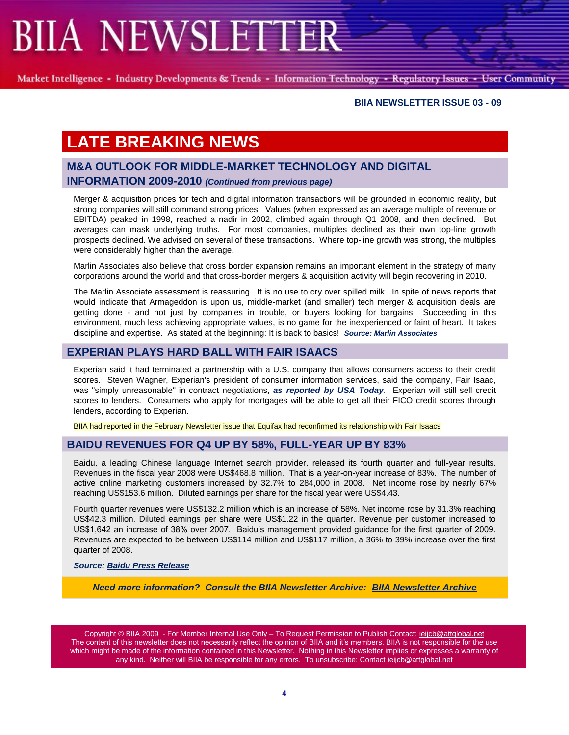Market Intelligence - Industry Developments & Trends - Information Technology - Regulatory Issues - User Community

#### **BIIA NEWSLETTER ISSUE 03 - 09**

# **LATE BREAKING NEWS**

## **M&A OUTLOOK FOR MIDDLE-MARKET TECHNOLOGY AND DIGITAL INFORMATION 2009-2010** *(Continued from previous page)*

Merger & acquisition prices for tech and digital information transactions will be grounded in economic reality, but strong companies will still command strong prices. Values (when expressed as an average multiple of revenue or EBITDA) peaked in 1998, reached a nadir in 2002, climbed again through Q1 2008, and then declined. But averages can mask underlying truths. For most companies, multiples declined as their own top-line growth prospects declined. We advised on several of these transactions. Where top-line growth was strong, the multiples were considerably higher than the average.

Marlin Associates also believe that cross border expansion remains an important element in the strategy of many corporations around the world and that cross-border mergers & acquisition activity will begin recovering in 2010.

The Marlin Associate assessment is reassuring. It is no use to cry over spilled milk. In spite of news reports that would indicate that Armageddon is upon us, middle-market (and smaller) tech merger & acquisition deals are getting done - and not just by companies in trouble, or buyers looking for bargains. Succeeding in this environment, much less achieving appropriate values, is no game for the inexperienced or faint of heart. It takes discipline and expertise. As stated at the beginning: It is back to basics! *Source: Marlin Associates*

### **EXPERIAN PLAYS HARD BALL WITH FAIR ISAACS**

Experian said it had terminated a partnership with a U.S. company that allows consumers access to their credit scores. Steven Wagner, Experian's president of consumer information services, said the company, Fair Isaac, was "simply unreasonable" in contract negotiations, *as reported by USA Today*. Experian will still sell credit scores to lenders. Consumers who apply for mortgages will be able to get all their FICO credit scores through lenders, according to Experian.

BIIA had reported in the February Newsletter issue that Equifax had reconfirmed its relationship with Fair Isaacs

#### **BAIDU REVENUES FOR Q4 UP BY 58%, FULL-YEAR UP BY 83%**

Baidu, a leading Chinese language Internet search provider, released its fourth quarter and full-year results. Revenues in the fiscal year 2008 were US\$468.8 million. That is a year-on-year increase of 83%. The number of active online marketing customers increased by 32.7% to 284,000 in 2008. Net income rose by nearly 67% reaching US\$153.6 million. Diluted earnings per share for the fiscal year were US\$4.43.

Fourth quarter revenues were US\$132.2 million which is an increase of 58%. Net income rose by 31.3% reaching US\$42.3 million. Diluted earnings per share were US\$1.22 in the quarter. Revenue per customer increased to US\$1,642 an increase of 38% over 2007. Baidu's management provided guidance for the first quarter of 2009. Revenues are expected to be between US\$114 million and US\$117 million, a 36% to 39% increase over the first quarter of 2008.

#### *Source: [Baidu Press Release](http://ir.baidu.com/phoenix.zhtml?c=188488&p=irol-newsArticle&ID=1257825&highlight=)*

*Need more information? Consult the BIIA Newsletter Archive: [BIIA Newsletter Archive](http://www.biia.com/memberNewsPW.php?action=archive)*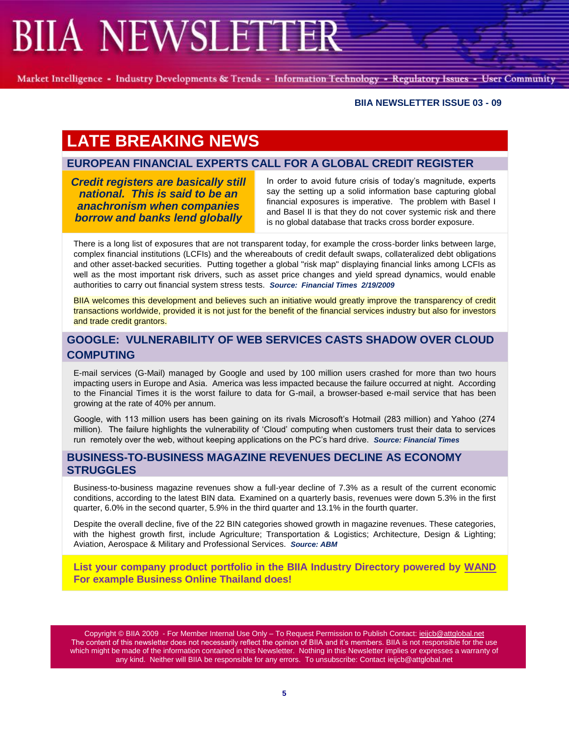Market Intelligence - Industry Developments & Trends - Information Technology - Regulatory Issues - User Community

#### **BIIA NEWSLETTER ISSUE 03 - 09**

# **LATE BREAKING NEWS**

## **EUROPEAN FINANCIAL EXPERTS CALL FOR A GLOBAL CREDIT REGISTER**

*Credit registers are basically still national. This is said to be an anachronism when companies borrow and banks lend globally*

In order to avoid future crisis of today's magnitude, experts say the setting up a solid information base capturing global financial exposures is imperative. The problem with Basel I and Basel II is that they do not cover systemic risk and there is no global database that tracks cross border exposure.

There is a long list of exposures that are not transparent today, for example the cross-border links between large, complex financial institutions (LCFIs) and the whereabouts of credit default swaps, collateralized debt obligations and other asset-backed securities. Putting together a global "risk map" displaying financial links among LCFIs as well as the most important risk drivers, such as asset price changes and yield spread dynamics, would enable authorities to carry out financial system stress tests. *Source: Financial Times 2/19/2009*

BIIA welcomes this development and believes such an initiative would greatly improve the transparency of credit transactions worldwide, provided it is not just for the benefit of the financial services industry but also for investors and trade credit grantors.

## **GOOGLE: VULNERABILITY OF WEB SERVICES CASTS SHADOW OVER CLOUD COMPUTING**

E-mail services (G-Mail) managed by Google and used by 100 million users crashed for more than two hours impacting users in Europe and Asia. America was less impacted because the failure occurred at night. According to the Financial Times it is the worst failure to data for G-mail, a browser-based e-mail service that has been growing at the rate of 40% per annum.

Google, with 113 million users has been gaining on its rivals Microsoft's Hotmail (283 million) and Yahoo (274 million). The failure highlights the vulnerability of ‗Cloud' computing when customers trust their data to services run remotely over the web, without keeping applications on the PC's hard drive. *Source: Financial Times*

### **BUSINESS-TO-BUSINESS MAGAZINE REVENUES DECLINE AS ECONOMY STRUGGLES**

Business-to-business magazine revenues show a full-year decline of 7.3% as a result of the current economic conditions, according to the latest BIN data. Examined on a quarterly basis, revenues were down 5.3% in the first quarter, 6.0% in the second quarter, 5.9% in the third quarter and 13.1% in the fourth quarter.

Despite the overall decline, five of the 22 BIN categories showed growth in magazine revenues. These categories, with the highest growth first, include Agriculture; Transportation & Logistics; Architecture, Design & Lighting; Aviation, Aerospace & Military and Professional Services. *Source: ABM*

**List your company product portfolio in the BIIA Industry Directory powered by [WAND](http://www.wand.com/biia/CompanyProfile.aspx?mfgcode=22017&sInfo=Business%20Online%20Public%20Company%20Limited-&sRedirect=)  For example Business Online Thailand does!**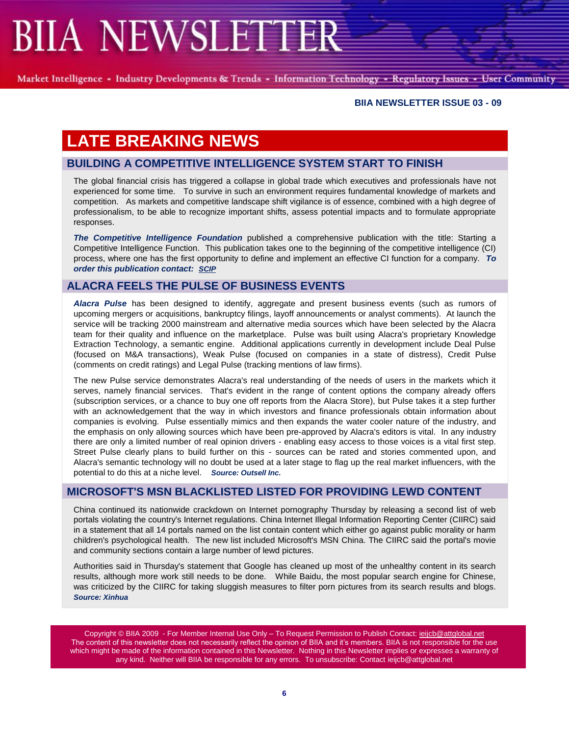Market Intelligence - Industry Developments & Trends - Information Technology - Regulatory Issues - User Community

#### **BIIA NEWSLETTER ISSUE 03 - 09**

# **LATE BREAKING NEWS**

### **BUILDING A COMPETITIVE INTELLIGENCE SYSTEM START TO FINISH**

The global financial crisis has triggered a collapse in global trade which executives and professionals have not experienced for some time. To survive in such an environment requires fundamental knowledge of markets and competition. As markets and competitive landscape shift vigilance is of essence, combined with a high degree of professionalism, to be able to recognize important shifts, assess potential impacts and to formulate appropriate responses.

*The Competitive Intelligence Foundation* published a comprehensive publication with the title: Starting a Competitive Intelligence Function. This publication takes one to the beginning of the competitive intelligence (CI) process, where one has the first opportunity to define and implement an effective CI function for a company. *To order this publication contact: [SCIP](http://www.scip.org/publications/ProductDetail.cfm?Itemnumber=5543)*

## **ALACRA FEELS THE PULSE OF BUSINESS EVENTS**

*Alacra Pulse* has been designed to identify, aggregate and present business events (such as rumors of upcoming mergers or acquisitions, bankruptcy filings, layoff announcements or analyst comments). At launch the service will be tracking 2000 mainstream and alternative media sources which have been selected by the Alacra team for their quality and influence on the marketplace. Pulse was built using Alacra's proprietary Knowledge Extraction Technology, a semantic engine. Additional applications currently in development include Deal Pulse (focused on M&A transactions), Weak Pulse (focused on companies in a state of distress), Credit Pulse (comments on credit ratings) and Legal Pulse (tracking mentions of law firms).

The new Pulse service demonstrates Alacra's real understanding of the needs of users in the markets which it serves, namely financial services. That's evident in the range of content options the company already offers (subscription services, or a chance to buy one off reports from the Alacra Store), but Pulse takes it a step further with an acknowledgement that the way in which investors and finance professionals obtain information about companies is evolving. Pulse essentially mimics and then expands the water cooler nature of the industry, and the emphasis on only allowing sources which have been pre-approved by Alacra's editors is vital. In any industry there are only a limited number of real opinion drivers - enabling easy access to those voices is a vital first step. Street Pulse clearly plans to build further on this - sources can be rated and stories commented upon, and Alacra's semantic technology will no doubt be used at a later stage to flag up the real market influencers, with the potential to do this at a niche level. *Source: Outsell Inc.*

### **MICROSOFT'S MSN BLACKLISTED LISTED FOR PROVIDING LEWD CONTENT**

China continued its nationwide crackdown on Internet pornography Thursday by releasing a second list of web portals violating the country's Internet regulations. China Internet Illegal Information Reporting Center (CIIRC) said in a statement that all 14 portals named on the list contain content which either go against public morality or harm children's psychological health. The new list included Microsoft's MSN China. The CIIRC said the portal's movie and community sections contain a large number of lewd pictures.

Authorities said in Thursday's statement that Google has cleaned up most of the unhealthy content in its search results, although more work still needs to be done. While Baidu, the most popular search engine for Chinese, was criticized by the CIIRC for taking sluggish measures to filter porn pictures from its search results and blogs. *Source: Xinhua*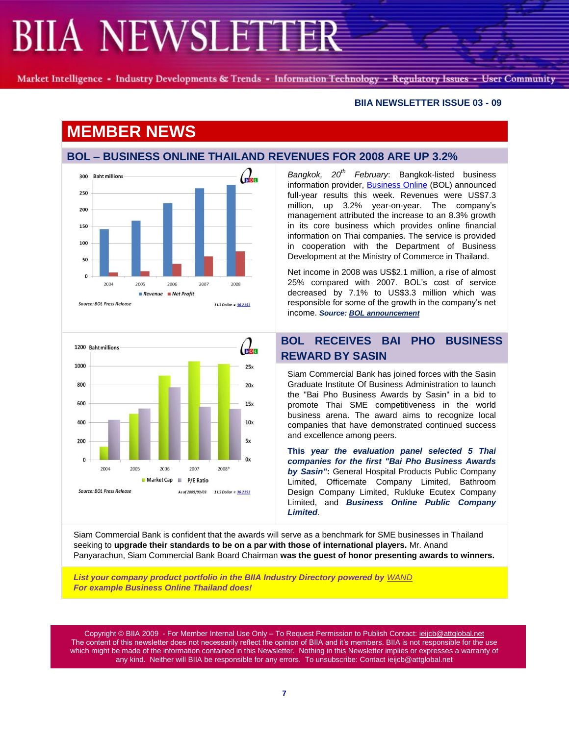Market Intelligence - Industry Developments & Trends - Information Technology - Regulatory Issues - User Community

#### **BIIA NEWSLETTER ISSUE 03 - 09**

## **MEMBER NEWS**

#### **BOL – BUSINESS ONLINE THAILAND REVENUES FOR 2008 ARE UP 3.2%**





*Bangkok, 20th February*: Bangkok-listed business information provider, [Business Online](http://www.bol.co.th/en/home/) (BOL) announced full-year results this week. Revenues were US\$7.3 million, up 3.2% year-on-year. The company's management attributed the increase to an 8.3% growth in its core business which provides online financial information on Thai companies. The service is provided in cooperation with the Department of Business Development at the Ministry of Commerce in Thailand.

Net income in 2008 was US\$2.1 million, a rise of almost 25% compared with 2007. BOL's cost of service decreased by 7.1% to US\$3.3 million which was responsible for some of the growth in the company's net income. *Source[: BOL announcement](http://www.mai.or.th/mai/companyAllInfo.do?symbol=BOL)*

## **BOL RECEIVES BAI PHO BUSINESS REWARD BY SASIN**

Siam Commercial Bank has joined forces with the Sasin Graduate Institute Of Business Administration to launch the "Bai Pho Business Awards by Sasin" in a bid to promote Thai SME competitiveness in the world business arena. The award aims to recognize local companies that have demonstrated continued success and excellence among peers.

**This** *year the evaluation panel selected 5 Thai companies for the first "Bai Pho Business Awards by Sasin"***:** General Hospital Products Public Company Limited, Officemate Company Limited, Bathroom Design Company Limited, Rukluke Ecutex Company Limited, and *Business Online Public Company Limited.*

Siam Commercial Bank is confident that the awards will serve as a benchmark for SME businesses in Thailand seeking to **upgrade their standards to be on a par with those of international players.** Mr. Anand Panyarachun, Siam Commercial Bank Board Chairman **was the guest of honor presenting awards to winners.**

*List your company product portfolio in the BIIA Industry Directory powered by [WAND](http://www.wand.com/biia/CompanyProfile.aspx?mfgcode=22017&sInfo=Business%20Online%20Public%20Company%20Limited-&sRedirect=)* *For example Business Online Thailand does!*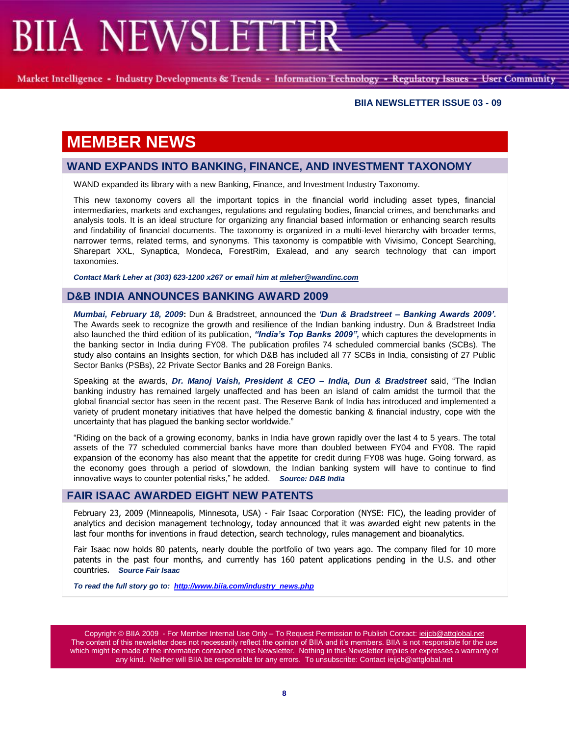Market Intelligence - Industry Developments & Trends - Information Technology - Regulatory Issues - User Community

#### **BIIA NEWSLETTER ISSUE 03 - 09**

## **MEMBER NEWS**

### **WAND EXPANDS INTO BANKING, FINANCE, AND INVESTMENT TAXONOMY**

WAND expanded its library with a new Banking, Finance, and Investment Industry Taxonomy.

This new taxonomy covers all the important topics in the financial world including asset types, financial intermediaries, markets and exchanges, regulations and regulating bodies, financial crimes, and benchmarks and analysis tools. It is an ideal structure for organizing any financial based information or enhancing search results and findability of financial documents. The taxonomy is organized in a multi-level hierarchy with broader terms, narrower terms, related terms, and synonyms. This taxonomy is compatible with Vivisimo, Concept Searching, Sharepart XXL, Synaptica, Mondeca, ForestRim, Exalead, and any search technology that can import taxonomies.

*Contact Mark Leher at (303) 623-1200 x267 or email him at [mleher@wandinc.com](mailto:mleher@wandinc.com?subject=Banking)*

#### **D&B INDIA ANNOUNCES BANKING AWARD 2009**

*Mumbai, February 18, 2009***:** Dun & Bradstreet, announced the *"Dun & Bradstreet – Banking Awards 2009".* The Awards seek to recognize the growth and resilience of the Indian banking industry. Dun & Bradstreet India also launched the third edition of its publication, *"India"s Top Banks 2009",* which captures the developments in the banking sector in India during FY08. The publication profiles 74 scheduled commercial banks (SCBs). The study also contains an Insights section, for which D&B has included all 77 SCBs in India, consisting of 27 Public Sector Banks (PSBs), 22 Private Sector Banks and 28 Foreign Banks.

Speaking at the awards, *Dr. Manoj Vaish, President & CEO – India, Dun & Bradstreet* said, "The Indian banking industry has remained largely unaffected and has been an island of calm amidst the turmoil that the global financial sector has seen in the recent past. The Reserve Bank of India has introduced and implemented a variety of prudent monetary initiatives that have helped the domestic banking & financial industry, cope with the uncertainty that has plaqued the banking sector worldwide."

"Riding on the back of a growing economy, banks in India have grown rapidly over the last 4 to 5 years. The total assets of the 77 scheduled commercial banks have more than doubled between FY04 and FY08. The rapid expansion of the economy has also meant that the appetite for credit during FY08 was huge. Going forward, as the economy goes through a period of slowdown, the Indian banking system will have to continue to find innovative ways to counter potential risks," he added. Source: D&B India

#### **FAIR ISAAC AWARDED EIGHT NEW PATENTS**

February 23, 2009 (Minneapolis, Minnesota, USA) - Fair Isaac Corporation (NYSE: FIC), the leading provider of analytics and decision management technology, today announced that it was awarded eight new patents in the last four months for inventions in fraud detection, search technology, rules management and bioanalytics.

Fair Isaac now holds 80 patents, nearly double the portfolio of two years ago. The company filed for 10 more patents in the past four months, and currently has 160 patent applications pending in the U.S. and other countries. *Source Fair Isaac*

*To read the full story go to: [http://www.biia.com/industry\\_news.php](http://www.biia.com/industry_news.php)*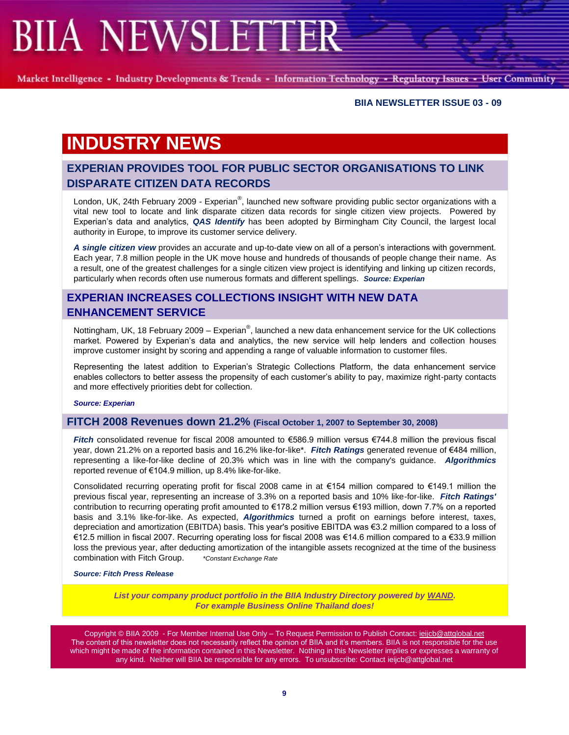Market Intelligence - Industry Developments & Trends - Information Technology - Regulatory Issues - User Community

#### **BIIA NEWSLETTER ISSUE 03 - 09**

# **INDUSTRY NEWS**

## **EXPERIAN PROVIDES TOOL FOR PUBLIC SECTOR ORGANISATIONS TO LINK DISPARATE CITIZEN DATA RECORDS**

London, UK, 24th February 2009 - Experian®, launched new software providing public sector organizations with a vital new tool to locate and link disparate citizen data records for single citizen view projects. Powered by Experian's data and analytics, *QAS Identify* has been adopted by Birmingham City Council, the largest local authority in Europe, to improve its customer service delivery.

*A single citizen view* provides an accurate and up-to-date view on all of a person's interactions with government. Each year, 7.8 million people in the UK move house and hundreds of thousands of people change their name. As a result, one of the greatest challenges for a single citizen view project is identifying and linking up citizen records, particularly when records often use numerous formats and different spellings. *Source: Experian*

### **EXPERIAN INCREASES COLLECTIONS INSIGHT WITH NEW DATA ENHANCEMENT SERVICE**

Nottingham, UK, 18 February 2009 – Experian®, launched a new data enhancement service for the UK collections market. Powered by Experian's data and analytics, the new service will help lenders and collection houses improve customer insight by scoring and appending a range of valuable information to customer files.

Representing the latest addition to Experian's Strategic Collections Platform, the data enhancement service enables collectors to better assess the propensity of each customer's ability to pay, maximize right-party contacts and more effectively priorities debt for collection.

*Source: Experian*

#### **FITCH 2008 Revenues down 21.2% (Fiscal October 1, 2007 to September 30, 2008)**

*Fitch* consolidated revenue for fiscal 2008 amounted to €586.9 million versus €744.8 million the previous fiscal year, down 21.2% on a reported basis and 16.2% like-for-like\*. *Fitch Ratings* generated revenue of €484 million, representing a like-for-like decline of 20.3% which was in line with the company's guidance. *Algorithmics* reported revenue of €104.9 million, up 8.4% like-for-like.

Consolidated recurring operating profit for fiscal 2008 came in at €154 million compared to €149.1 million the previous fiscal year, representing an increase of 3.3% on a reported basis and 10% like-for-like. *Fitch Ratings'* contribution to recurring operating profit amounted to €178.2 million versus €193 million, down 7.7% on a reported basis and 3.1% like-for-like. As expected, *Algorithmics* turned a profit on earnings before interest, taxes, depreciation and amortization (EBITDA) basis. This year's positive EBITDA was €3.2 million compared to a loss of €12.5 million in fiscal 2007. Recurring operating loss for fiscal 2008 was €14.6 million compared to a €33.9 million loss the previous year, after deducting amortization of the intangible assets recognized at the time of the business combination with Fitch Group. *\*Constant Exchange Rate*

#### *Source: Fitch Press Release*

*List your company product portfolio in the BIIA Industry Directory powered by [WAND.](http://www.wand.com/biia/CompanyProfile.aspx?mfgcode=22017&sInfo=Business%20Online%20Public%20Company%20Limited-&sRedirect=) For example Business Online Thailand does!*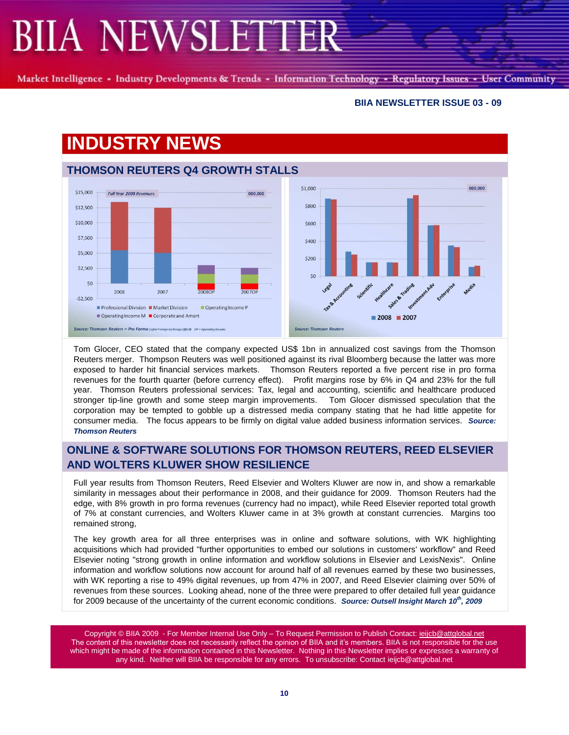Market Intelligence - Industry Developments & Trends - Information Technology - Regulatory Issues - User Community

#### **BIIA NEWSLETTER ISSUE 03 - 09**

# **INDUSTRY NEWS**



Tom Glocer, CEO stated that the company expected US\$ 1bn in annualized cost savings from the Thomson Reuters merger. Thompson Reuters was well positioned against its rival Bloomberg because the latter was more exposed to harder hit financial services markets. Thomson Reuters reported a five percent rise in pro forma revenues for the fourth quarter (before currency effect). Profit margins rose by 6% in Q4 and 23% for the full year. Thomson Reuters professional services: Tax, legal and accounting, scientific and healthcare produced stronger tip-line growth and some steep margin improvements. Tom Glocer dismissed speculation that the corporation may be tempted to gobble up a distressed media company stating that he had little appetite for consumer media. The focus appears to be firmly on digital value added business information services. *Source: Thomson Reuters*

## **ONLINE & SOFTWARE SOLUTIONS FOR THOMSON REUTERS, REED ELSEVIER AND WOLTERS KLUWER SHOW RESILIENCE**

Full year results from Thomson Reuters, Reed Elsevier and Wolters Kluwer are now in, and show a remarkable similarity in messages about their performance in 2008, and their guidance for 2009. Thomson Reuters had the edge, with 8% growth in pro forma revenues (currency had no impact), while Reed Elsevier reported total growth of 7% at constant currencies, and Wolters Kluwer came in at 3% growth at constant currencies. Margins too remained strong,

The key growth area for all three enterprises was in online and software solutions, with WK highlighting acquisitions which had provided "further opportunities to embed our solutions in customers' workflow" and Reed Elsevier noting "strong growth in online information and workflow solutions in Elsevier and LexisNexis". Online information and workflow solutions now account for around half of all revenues earned by these two businesses, with WK reporting a rise to 49% digital revenues, up from 47% in 2007, and Reed Elsevier claiming over 50% of revenues from these sources. Looking ahead, none of the three were prepared to offer detailed full year guidance for 2009 because of the uncertainty of the current economic conditions. *Source: Outsell Insight March 10th, 2009*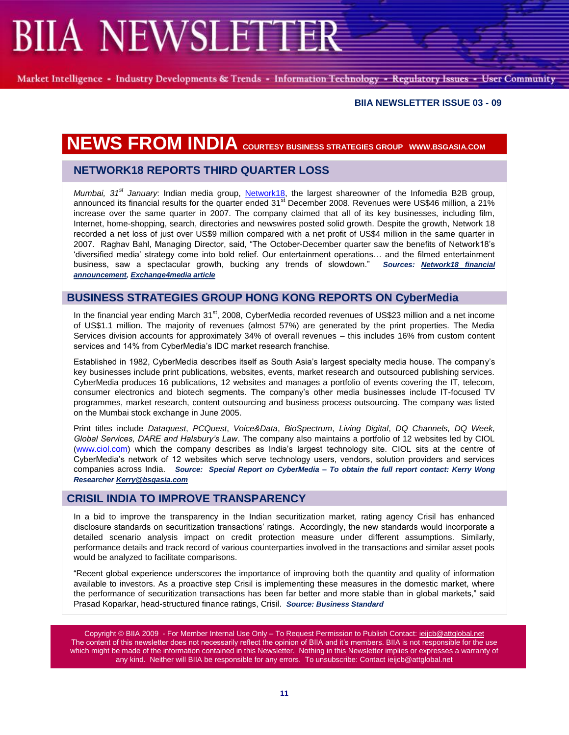Market Intelligence - Industry Developments & Trends - Information Technology - Regulatory Issues - User Community

#### **BIIA NEWSLETTER ISSUE 03 - 09**

# **NEWS FROM INDIA COURTESY BUSINESS STRATEGIES GROUP WWW.BSGASIA.COM**

### **NETWORK18 REPORTS THIRD QUARTER LOSS**

*Mumbai, 31st January*: Indian media group, [Network18,](http://www.network18online.com/) the largest shareowner of the Infomedia B2B group, announced its financial results for the quarter ended  $31<sup>st</sup>$  December 2008. Revenues were US\$46 million, a 21% increase over the same quarter in 2007. The company claimed that all of its key businesses, including film, Internet, home-shopping, search, directories and newswires posted solid growth. Despite the growth, Network 18 recorded a net loss of just over US\$9 million compared with a net profit of US\$4 million in the same quarter in 2007. Raghav Bahl, Managing Director, said, "The October-December quarter saw the benefits of Network18's ‗diversified media' strategy come into bold relief. Our entertainment operations… and the filmed entertainment business, saw a spectacular growth, bucking any trends of slowdown.‖ *Sources: [Network18 financial](http://www.network18online.com/reports/INVESTOR_UPDATE-N18_Q3FY2008-09.pdf)  [announcement,](http://www.network18online.com/reports/INVESTOR_UPDATE-N18_Q3FY2008-09.pdf) [Exchange4media article](http://www.exchange4media.com/e4m/news/fullstory.asp?news_id=33824§ion_id=6&pict=4&tag=28796)*

#### **BUSINESS STRATEGIES GROUP HONG KONG REPORTS ON CyberMedia**

In the financial year ending March 31<sup>st</sup>, 2008, CyberMedia recorded revenues of US\$23 million and a net income of US\$1.1 million. The majority of revenues (almost 57%) are generated by the print properties. The Media Services division accounts for approximately 34% of overall revenues – this includes 16% from custom content services and 14% from CyberMedia's IDC market research franchise.

Established in 1982, CyberMedia describes itself as South Asia's largest specialty media house. The company's key businesses include print publications, websites, events, market research and outsourced publishing services. CyberMedia produces 16 publications, 12 websites and manages a portfolio of events covering the IT, telecom, consumer electronics and biotech segments. The company's other media businesses include IT-focused TV programmes, market research, content outsourcing and business process outsourcing. The company was listed on the Mumbai stock exchange in June 2005.

Print titles include *Dataquest*, *PCQuest*, *Voice&Data*, *BioSpectrum*, *Living Digital*, *DQ Channels, DQ Week, Global Services, DARE and Halsbury's Law*. The company also maintains a portfolio of 12 websites led by CIOL [\(www.ciol.com\)](http://www.ciol.com/) which the company describes as India's largest technology site. CIOL sits at the centre of CyberMedia's network of 12 websites which serve technology users, vendors, solution providers and services companies across India. *Source: Special Report on CyberMedia – To obtain the full report contact: Kerry Wong Researcher [Kerry@bsgasia.com](mailto:Kerry@bsgasia.com)*

#### **CRISIL INDIA TO IMPROVE TRANSPARENCY**

In a bid to improve the transparency in the Indian securitization market, rating agency Crisil has enhanced disclosure standards on securitization transactions' ratings. Accordingly, the new standards would incorporate a detailed scenario analysis impact on credit protection measure under different assumptions. Similarly, performance details and track record of various counterparties involved in the transactions and similar asset pools would be analyzed to facilitate comparisons.

―Recent global experience underscores the importance of improving both the quantity and quality of information available to investors. As a proactive step Crisil is implementing these measures in the domestic market, where the performance of securitization transactions has been far better and more stable than in global markets," said Prasad Koparkar, head-structured finance ratings, Crisil. *Source: Business Standard*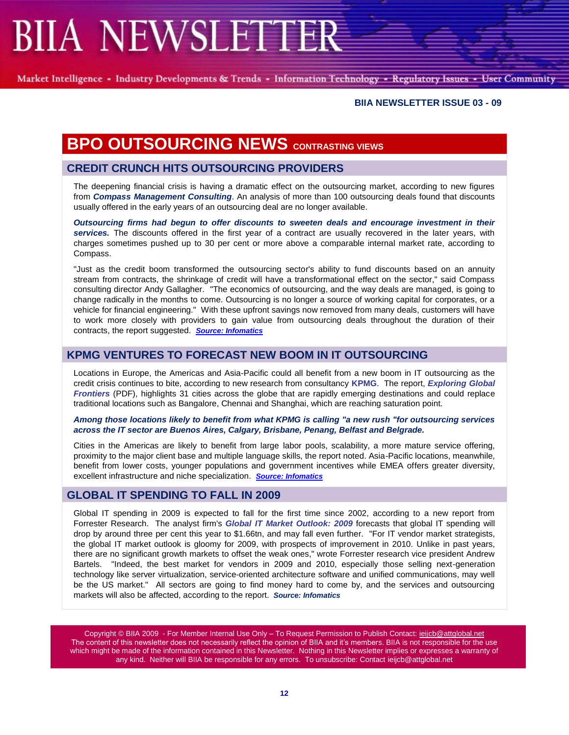Market Intelligence - Industry Developments & Trends - Information Technology - Regulatory Issues - User Community

#### **BIIA NEWSLETTER ISSUE 03 - 09**

## **BPO OUTSOURCING NEWS CONTRASTING VIEWS**

### **CREDIT CRUNCH HITS OUTSOURCING PROVIDERS**

The deepening financial crisis is having a dramatic effect on the outsourcing market, according to new figures from *[Compass Management Consulting](http://www.compassmc.com/)*. An analysis of more than 100 outsourcing deals found that discounts usually offered in the early years of an outsourcing deal are no longer available.

*Outsourcing firms had begun to offer discounts to sweeten deals and encourage investment in their services.* The discounts offered in the first year of a contract are usually recovered in the later years, with charges sometimes pushed up to 30 per cent or more above a comparable internal market rate, according to Compass.

"Just as the credit boom transformed the outsourcing sector's ability to fund discounts based on an annuity stream from contracts, the shrinkage of credit will have a transformational effect on the sector," said Compass consulting director Andy Gallagher. "The economics of outsourcing, and the way deals are managed, is going to change radically in the months to come. Outsourcing is no longer a source of working capital for corporates, or a vehicle for financial engineering." With these upfront savings now removed from many deals, customers will have to work more closely with providers to gain value from outsourcing deals throughout the duration of their contracts, the report suggested. *[Source: Infomatics](http://www.infomaticsonline.co.uk/vnunet/news/2233777/credit-crunch-hits-outsourcing?vnu_lt=inf_art_related_articles)*

### **KPMG VENTURES TO FORECAST NEW BOOM IN IT OUTSOURCING**

Locations in Europe, the Americas and Asia-Pacific could all benefit from a new boom in IT outsourcing as the credit crisis continues to bite, according to new research from consultancy **[KPMG](http://www.kpmg.co.uk/)**. The report, *[Exploring Global](http://www.kpmg.co.uk/news/docs/Exploring%20Global%20Frontiers.pdf)  [Frontiers](http://www.kpmg.co.uk/news/docs/Exploring%20Global%20Frontiers.pdf)* (PDF), highlights 31 cities across the globe that are rapidly emerging destinations and could replace traditional locations such as Bangalore, Chennai and Shanghai, which are reaching saturation point.

#### *Among those locations likely to benefit from what KPMG is calling "a new rush "for outsourcing services across the IT sector are Buenos Aires, Calgary, Brisbane, Penang, Belfast and Belgrade.*

Cities in the Americas are likely to benefit from large labor pools, scalability, a more mature service offering, proximity to the major client base and multiple language skills, the report noted. Asia-Pacific locations, meanwhile, benefit from lower costs, younger populations and government incentives while EMEA offers greater diversity, excellent infrastructure and niche specialization. *[Source: Infomatics](http://www.infomaticsonline.co.uk/vnunet/news/2236906/credit-crunch-prompt-growth)*

### **GLOBAL IT SPENDING TO FALL IN 2009**

Global IT spending in 2009 is expected to fall for the first time since 2002, according to a new report from Forrester Research. The analyst firm's *[Global IT Market Outlook: 2009](http://www.forrester.com/Research/Document/Excerpt/0,7211,46676,00.html)* forecasts that global IT spending will drop by around three per cent this year to \$1.66tn, and may fall even further. "For IT vendor market strategists, the global IT market outlook is gloomy for 2009, with prospects of improvement in 2010. Unlike in past years, there are no significant growth markets to offset the weak ones," wrote Forrester research vice president Andrew Bartels. "Indeed, the best market for vendors in 2009 and 2010, especially those selling next-generation technology like server virtualization, service-oriented architecture software and unified communications, may well be the US market." All sectors are going to find money hard to come by, and the services and outsourcing markets will also be affected, according to the report. *Source: Infomatics*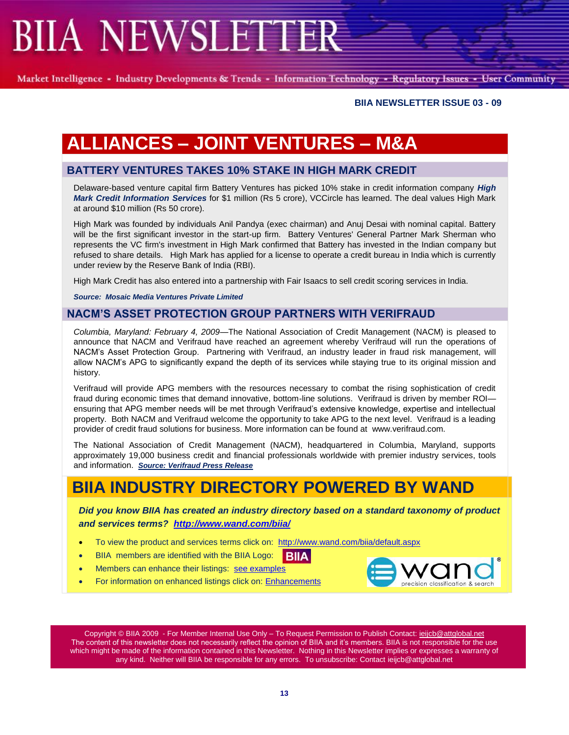Market Intelligence - Industry Developments & Trends - Information Technology - Regulatory Issues - User Community

#### **BIIA NEWSLETTER ISSUE 03 - 09**

# **ALLIANCES – JOINT VENTURES – M&A**

### **BATTERY VENTURES TAKES 10% STAKE IN HIGH MARK CREDIT**

Delaware-based venture capital firm Battery Ventures has picked 10% stake in credit information company *High Mark Credit Information Services* for \$1 million (Rs 5 crore), VCCircle has learned. The deal values High Mark at around \$10 million (Rs 50 crore).

High Mark was founded by individuals Anil Pandya (exec chairman) and Anuj Desai with nominal capital. Battery will be the first significant investor in the start-up firm. Battery Ventures' General Partner Mark Sherman who represents the VC firm's investment in High Mark confirmed that Battery has invested in the Indian company but refused to share details. High Mark has applied for a license to operate a credit bureau in India which is currently under review by the Reserve Bank of India (RBI).

High Mark Credit has also entered into a partnership with Fair Isaacs to sell credit scoring services in India.

*Source: Mosaic Media Ventures Private Limited* 

#### **NACM'S ASSET PROTECTION GROUP PARTNERS WITH VERIFRAUD**

*Columbia, Maryland: February 4, 2009—*The National Association of Credit Management (NACM) is pleased to announce that NACM and Verifraud have reached an agreement whereby Verifraud will run the operations of NACM's Asset Protection Group. Partnering with Verifraud, an industry leader in fraud risk management, will allow NACM's APG to significantly expand the depth of its services while staying true to its original mission and history.

Verifraud will provide APG members with the resources necessary to combat the rising sophistication of credit fraud during economic times that demand innovative, bottom-line solutions. Verifraud is driven by member ROI ensuring that APG member needs will be met through Verifraud's extensive knowledge, expertise and intellectual property. Both NACM and Verifraud welcome the opportunity to take APG to the next level. Verifraud is a leading provider of credit fraud solutions for business. More information can be found atwww.verifraud.com.

The National Association of Credit Management (NACM), headquartered in Columbia, Maryland, supports approximately 19,000 business credit and financial professionals worldwide with premier industry services, tools and information. *[Source: Verifraud Press Release](http://www.nacm.org/resource/press_release/APG%20Verifraud_020409.pdf)*

## **BIIA INDUSTRY DIRECTORY POWERED BY WAND**

*Did you know BIIA has created an industry directory based on a standard taxonomy of product and services terms? <http://www.wand.com/biia/>*

- To view the product and services terms click on:<http://www.wand.com/biia/default.aspx>
- BIIA members are identified with the BIIA Logo: **BIIA**
- Members can enhance their listings: see examples
- For information on enhanced listings click on: [Enhancements](http://www.wand.com/biia/profiledesc.aspx)

precision classification & search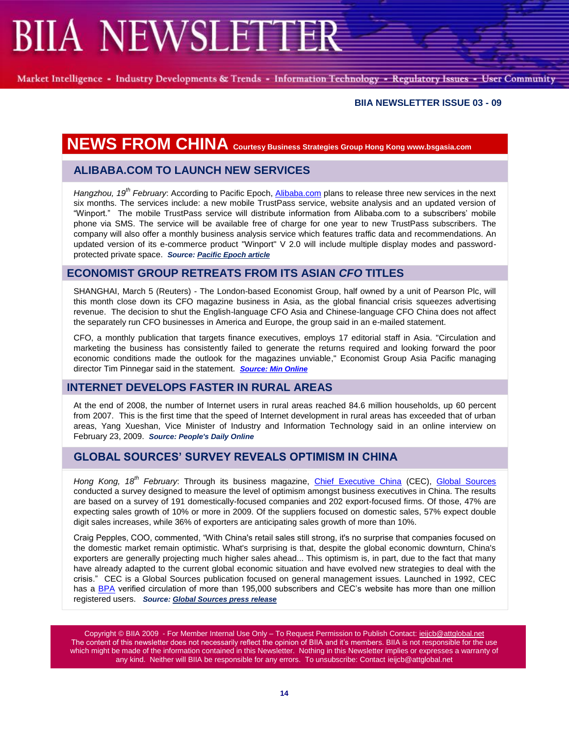Market Intelligence - Industry Developments & Trends - Information Technology - Regulatory Issues - User Community

#### **BIIA NEWSLETTER ISSUE 03 - 09**

## **NEWS FROM CHINA Courtesy Business Strategies Group Hong Kong www.bsgasia.com**

### **ALIBABA.COM TO LAUNCH NEW SERVICES**

*Hangzhou, 19th February*: According to Pacific Epoch, [Alibaba.com](http://www.alibaba.com/) plans to release three new services in the next six months. The services include: a new mobile TrustPass service, website analysis and an updated version of ―Winport.‖ The mobile TrustPass service will distribute information from Alibaba.com to a subscribers' mobile phone via SMS. The service will be available free of charge for one year to new TrustPass subscribers. The company will also offer a monthly business analysis service which features traffic data and recommendations. An updated version of its e-commerce product "Winport" V 2.0 will include multiple display modes and passwordprotected private space. *Source[: Pacific Epoch article](http://www.jlmpacificepoch.com/newsstories?id=141567_0_5_0_M)*

#### **ECONOMIST GROUP RETREATS FROM ITS ASIAN** *CFO* **TITLES**

SHANGHAI, March 5 (Reuters) - The London-based Economist Group, half owned by a unit of Pearson Plc, will this month close down its CFO magazine business in Asia, as the global financial crisis squeezes advertising revenue. The decision to shut the English-language CFO Asia and Chinese-language CFO China does not affect the separately run CFO businesses in America and Europe, the group said in an e-mailed statement.

CFO, a monthly publication that targets finance executives, employs 17 editorial staff in Asia. "Circulation and marketing the business has consistently failed to generate the returns required and looking forward the poor economic conditions made the outlook for the magazines unviable," Economist Group Asia Pacific managing director Tim Pinnegar said in the statement. *[Source: Min Online](http://www.minonline.com/news/10218.html)*

### **INTERNET DEVELOPS FASTER IN RURAL AREAS**

At the end of 2008, the number of Internet users in rural areas reached 84.6 million households, up 60 percent from 2007. This is the first time that the speed of Internet development in rural areas has exceeded that of urban areas, Yang Xueshan, Vice Minister of Industry and Information Technology said in an online interview on February 23, 2009. *Source: People's Daily Online*

## **GLOBAL SOURCES' SURVEY REVEALS OPTIMISM IN CHINA**

*Hong Kong, 18th February*: Through its business magazine, [Chief Executive China](http://www.ceconline.com/) (CEC), [Global Sources](http://www.globalsources.com/) conducted a survey designed to measure the level of optimism amongst business executives in China. The results are based on a survey of 191 domestically-focused companies and 202 export-focused firms. Of those, 47% are expecting sales growth of 10% or more in 2009. Of the suppliers focused on domestic sales, 57% expect double digit sales increases, while 36% of exporters are anticipating sales growth of more than 10%.

Craig Pepples, COO, commented, "With China's retail sales still strong, it's no surprise that companies focused on the domestic market remain optimistic. What's surprising is that, despite the global economic downturn, China's exporters are generally projecting much higher sales ahead... This optimism is, in part, due to the fact that many have already adapted to the current global economic situation and have evolved new strategies to deal with the crisis.‖ CEC is a Global Sources publication focused on general management issues. Launched in 1992, CEC has a [BPA](http://www.bpaww.com/) verified circulation of more than 195,000 subscribers and CEC's website has more than one million registered users. *Source[: Global Sources press release](http://www.corporate.globalsources.com/INFO/PRESS/2009/FEB18.HTM)*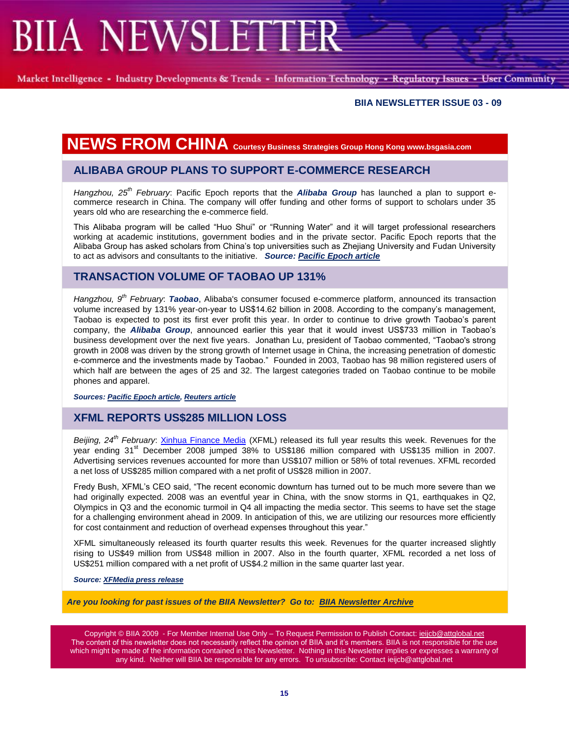Market Intelligence - Industry Developments & Trends - Information Technology - Regulatory Issues - User Community

#### **BIIA NEWSLETTER ISSUE 03 - 09**

## **NEWS FROM CHINA Courtesy Business Strategies Group Hong Kong www.bsgasia.com**

### **ALIBABA GROUP PLANS TO SUPPORT E-COMMERCE RESEARCH**

*Hangzhou, 25th February*: Pacific Epoch reports that the *[Alibaba Group](http://www.alibaba.com/aboutalibaba/aligroup/index.html)* has launched a plan to support ecommerce research in China. The company will offer funding and other forms of support to scholars under 35 years old who are researching the e-commerce field.

This Alibaba program will be called "Huo Shui" or "Running Water" and it will target professional researchers working at academic institutions, government bodies and in the private sector. Pacific Epoch reports that the Alibaba Group has asked scholars from China's top universities such as Zhejiang University and Fudan University to act as advisors and consultants to the initiative. *Source: [Pacific Epoch article](http://www.jlmpacificepoch.com/newsstories?id=142000_0_5_0_M)*

### **TRANSACTION VOLUME OF TAOBAO UP 131%**

*Hangzhou, 9th February*: *[Taobao](http://www.taobao.com/)*, Alibaba's consumer focused e-commerce platform, announced its transaction volume increased by 131% year-on-year to US\$14.62 billion in 2008. According to the company's management, Taobao is expected to post its first ever profit this year. In order to continue to drive growth Taobao's parent company, the *[Alibaba Group](http://www.alibaba.com/aboutalibaba/aligroup/index.html)*, announced earlier this year that it would invest US\$733 million in Taobao's business development over the next five years. Jonathan Lu, president of Taobao commented, "Taobao's strong growth in 2008 was driven by the strong growth of Internet usage in China, the increasing penetration of domestic e-commerce and the investments made by Taobao.‖ Founded in 2003, Taobao has 98 million registered users of which half are between the ages of 25 and 32. The largest categories traded on Taobao continue to be mobile phones and apparel.

*Sources[: Pacific Epoch article,](http://www.jlmpacificepoch.com/newsstories?id=140873_0_5_0_M) [Reuters article](http://www.reuters.com/article/rbssTechMediaTelecomNews/idUSPEK30781120090211)*

### **XFML REPORTS US\$285 MILLION LOSS**

*Beijing, 24th February*: [Xinhua Finance Media](http://www.xfmedia.cn/en/) (XFML) released its full year results this week. Revenues for the year ending 31<sup>st</sup> December 2008 jumped 38% to US\$186 million compared with US\$135 million in 2007. Advertising services revenues accounted for more than US\$107 million or 58% of total revenues. XFML recorded a net loss of US\$285 million compared with a net profit of US\$28 million in 2007.

Fredy Bush, XFML's CEO said, "The recent economic downturn has turned out to be much more severe than we had originally expected. 2008 was an eventful year in China, with the snow storms in Q1, earthquakes in Q2, Olympics in Q3 and the economic turmoil in Q4 all impacting the media sector. This seems to have set the stage for a challenging environment ahead in 2009. In anticipation of this, we are utilizing our resources more efficiently for cost containment and reduction of overhead expenses throughout this year."

XFML simultaneously released its fourth quarter results this week. Revenues for the quarter increased slightly rising to US\$49 million from US\$48 million in 2007. Also in the fourth quarter, XFML recorded a net loss of US\$251 million compared with a net profit of US\$4.2 million in the same quarter last year.

*Source[: XFMedia press release](http://www.xfmedia.cn/en/press-center/press-releases/details/index.aspx?id=4089&year=2009)*

*Are you looking for past issues of the BIIA Newsletter? Go to: [BIIA Newsletter Archive](http://www.biia.com/memberNewsPW.php?action=archive)*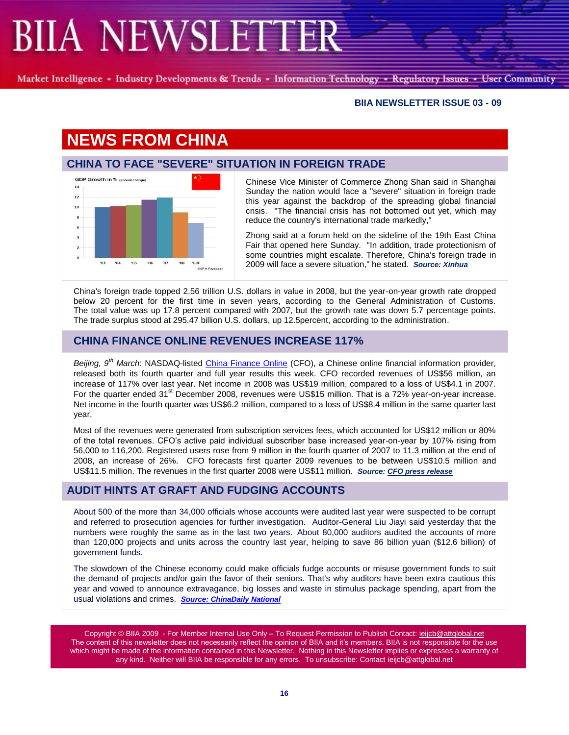Market Intelligence - Industry Developments & Trends - Information Technology - Regulatory Issues - User Community

#### **BIIA NEWSLETTER ISSUE 03 - 09**

# **NEWS FROM CHINA**

## **CHINA TO FACE "SEVERE" SITUATION IN FOREIGN TRADE**



Chinese Vice Minister of Commerce Zhong Shan said in Shanghai Sunday the nation would face a "severe" situation in foreign trade this year against the backdrop of the spreading global financial crisis. "The financial crisis has not bottomed out yet, which may reduce the country's international trade markedly,"

Zhong said at a forum held on the sideline of the 19th East China Fair that opened here Sunday. "In addition, trade protectionism of some countries might escalate. Therefore, China's foreign trade in 2009 will face a severe situation," he stated. *Source: Xinhua*

China's foreign trade topped 2.56 trillion U.S. dollars in value in 2008, but the year-on-year growth rate dropped below 20 percent for the first time in seven years, according to the General Administration of Customs. The total value was up 17.8 percent compared with 2007, but the growth rate was down 5.7 percentage points. The trade surplus stood at 295.47 billion U.S. dollars, up 12.5percent, according to the administration.

### **CHINA FINANCE ONLINE REVENUES INCREASE 117%**

*Beijing, 9th March*: NASDAQ-listed [China Finance Online](http://www.chinafinanceonline.com/) (CFO), a Chinese online financial information provider, released both its fourth quarter and full year results this week. CFO recorded revenues of US\$56 million, an increase of 117% over last year. Net income in 2008 was US\$19 million, compared to a loss of US\$4.1 in 2007. For the quarter ended 31<sup>st</sup> December 2008, revenues were US\$15 million. That is a 72% year-on-year increase. Net income in the fourth quarter was US\$6.2 million, compared to a loss of US\$8.4 million in the same quarter last year.

Most of the revenues were generated from subscription services fees, which accounted for US\$12 million or 80% of the total revenues. CFO's active paid individual subscriber base increased year-on-year by 107% rising from 56,000 to 116,200. Registered users rose from 9 million in the fourth quarter of 2007 to 11.3 million at the end of 2008, an increase of 26%. CFO forecasts first quarter 2009 revenues to be between US\$10.5 million and US\$11.5 million. The revenues in the first quarter 2008 were US\$11 million. *Source: [CFO press release](http://ir.chinafinanceonline.com/phoenix.zhtml?c=183451&p=irol-newsArticle&ID=1264265&highlight=)*

## **AUDIT HINTS AT GRAFT AND FUDGING ACCOUNTS**

About 500 of the more than 34,000 officials whose accounts were audited last year were suspected to be corrupt and referred to prosecution agencies for further investigation. Auditor-General Liu Jiayi said yesterday that the numbers were roughly the same as in the last two years. About 80,000 auditors audited the accounts of more than 120,000 projects and units across the country last year, helping to save 86 billion yuan (\$12.6 billion) of government funds.

The slowdown of the Chinese economy could make officials fudge accounts or misuse government funds to suit the demand of projects and/or gain the favor of their seniors. That's why auditors have been extra cautious this year and vowed to announce extravagance, big losses and waste in stimulus package spending, apart from the usual violations and crimes. *[Source: ChinaDaily](http://www.chinadaily.com.cn/china/2009-02/20/content_7494648.htm) National*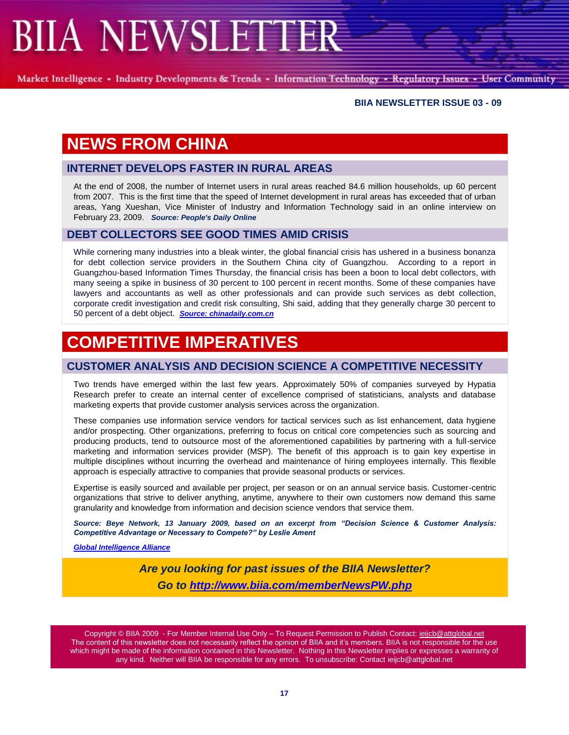Market Intelligence - Industry Developments & Trends - Information Technology - Regulatory Issues - User Community

#### **BIIA NEWSLETTER ISSUE 03 - 09**

## **NEWS FROM CHINA**

### **INTERNET DEVELOPS FASTER IN RURAL AREAS**

At the end of 2008, the number of Internet users in rural areas reached 84.6 million households, up 60 percent from 2007. This is the first time that the speed of Internet development in rural areas has exceeded that of urban areas, Yang Xueshan, Vice Minister of Industry and Information Technology said in an online interview on February 23, 2009. *Source: People's Daily Online*

#### **DEBT COLLECTORS SEE GOOD TIMES AMID CRISIS**

While cornering many industries into a bleak winter, the global financial crisis has ushered in a business bonanza for debt collection service providers in the Southern China city of Guangzhou. According to a report in Guangzhou-based Information Times Thursday, the financial crisis has been a boon to local debt collectors, with many seeing a spike in business of 30 percent to 100 percent in recent months. Some of these companies have lawyers and accountants as well as other professionals and can provide such services as debt collection, corporate credit investigation and credit risk consulting, Shi said, adding that they generally charge 30 percent to 50 percent of a debt object. *[Source: chinadaily.com.cn](http://www.chinadaily.com.cn/china/2009-02/20/content_7494674.htm)*

## **COMPETITIVE IMPERATIVES**

### **CUSTOMER ANALYSIS AND DECISION SCIENCE A COMPETITIVE NECESSITY**

Two trends have emerged within the last few years. Approximately 50% of companies surveyed by Hypatia Research prefer to create an internal center of excellence comprised of statisticians, analysts and database marketing experts that provide customer analysis services across the organization.

These companies use information service vendors for tactical services such as list enhancement, data hygiene and/or prospecting. Other organizations, preferring to focus on critical core competencies such as sourcing and producing products, tend to outsource most of the aforementioned capabilities by partnering with a full-service marketing and information services provider (MSP). The benefit of this approach is to gain key expertise in multiple disciplines without incurring the overhead and maintenance of hiring employees internally. This flexible approach is especially attractive to companies that provide seasonal products or services.

Expertise is easily sourced and available per project, per season or on an annual service basis. Customer-centric organizations that strive to deliver anything, anytime, anywhere to their own customers now demand this same granularity and knowledge from information and decision science vendors that service them.

*Source: Beye Network, 13 January 2009, based on an excerpt from "Decision Science & Customer Analysis: Competitive Advantage or Necessary to Compete?" by Leslie Ament*

*[Global Intelligence Alliance](http://www.globalintelligence.com/news/news/archive2005/)*

*Are you looking for past issues of the BIIA Newsletter? Go to<http://www.biia.com/memberNewsPW.php>*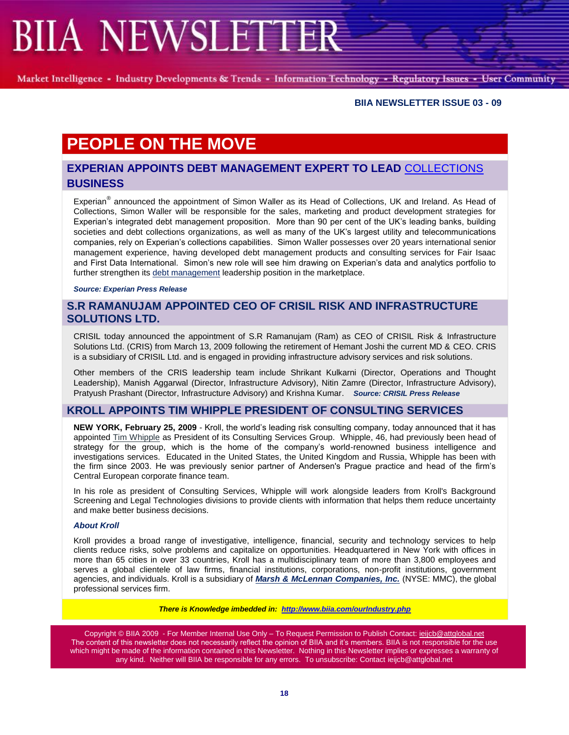Market Intelligence - Industry Developments & Trends - Information Technology - Regulatory Issues - User Community

#### **BIIA NEWSLETTER ISSUE 03 - 09**

# **PEOPLE ON THE MOVE**

### **EXPERIAN APPOINTS DEBT MANAGEMENT EXPERT TO LEAD** [COLLECTIONS](http://www.experian.co.uk/www/pages/what_we_offer/collections-debt-management/collections-debt-management.html) **BUSINESS**

Experian<sup>®</sup> announced the appointment of Simon Waller as its Head of Collections, UK and Ireland. As Head of Collections, Simon Waller will be responsible for the sales, marketing and product development strategies for Experian's integrated debt management proposition. More than 90 per cent of the UK's leading banks, building societies and debt collections organizations, as well as many of the UK's largest utility and telecommunications companies, rely on Experian's collections capabilities. Simon Waller possesses over 20 years international senior management experience, having developed debt management products and consulting services for Fair Isaac and First Data International. Simon's new role will see him drawing on Experian's data and analytics portfolio to further strengthen its [debt management](http://www.experian.co.uk/www/pages/what_we_offer/collections-debt-management/collections-debt-management.html) leadership position in the marketplace.

*Source: Experian Press Release*

### **S.R RAMANUJAM APPOINTED CEO OF CRISIL RISK AND INFRASTRUCTURE SOLUTIONS LTD.**

CRISIL today announced the appointment of S.R Ramanujam (Ram) as CEO of CRISIL Risk & Infrastructure Solutions Ltd. (CRIS) from March 13, 2009 following the retirement of Hemant Joshi the current MD & CEO. CRIS is a subsidiary of CRISIL Ltd. and is engaged in providing infrastructure advisory services and risk solutions.

Other members of the CRIS leadership team include Shrikant Kulkarni (Director, Operations and Thought Leadership), Manish Aggarwal (Director, Infrastructure Advisory), Nitin Zamre (Director, Infrastructure Advisory), Pratyush Prashant (Director, Infrastructure Advisory) and Krishna Kumar. *Source: CRISIL Press Release*

### **KROLL APPOINTS TIM WHIPPLE PRESIDENT OF CONSULTING SERVICES**

**NEW YORK, February 25, 2009** - Kroll, the world's leading risk consulting company, today announced that it has appointed [Tim Whipple](http://www.kroll.com/services/ifai/professionals/whipple/) as President of its Consulting Services Group. Whipple, 46, had previously been head of strategy for the group, which is the home of the company's world-renowned business intelligence and investigations services. Educated in the United States, the United Kingdom and Russia, Whipple has been with the firm since 2003. He was previously senior partner of Andersen's Prague practice and head of the firm's Central European corporate finance team.

In his role as president of Consulting Services, Whipple will work alongside leaders from Kroll's Background Screening and Legal Technologies divisions to provide clients with information that helps them reduce uncertainty and make better business decisions.

#### *About Kroll*

Kroll provides a broad range of investigative, intelligence, financial, security and technology services to help clients reduce risks, solve problems and capitalize on opportunities. Headquartered in New York with offices in more than 65 cities in over 33 countries, Kroll has a multidisciplinary team of more than 3,800 employees and serves a global clientele of law firms, financial institutions, corporations, non-profit institutions, government agencies, and individuals. Kroll is a subsidiary of *[Marsh & McLennan Companies, Inc.](http://www.mmc.com/)* (NYSE: MMC), the global professional services firm.

*There is Knowledge imbedded in: <http://www.biia.com/ourIndustry.php>*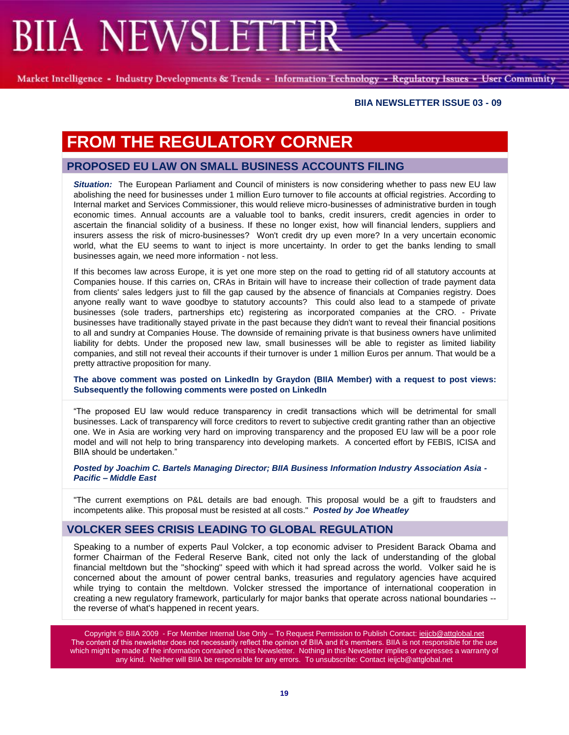Market Intelligence - Industry Developments & Trends - Information Technology - Regulatory Issues - User Community

#### **BIIA NEWSLETTER ISSUE 03 - 09**

## **FROM THE REGULATORY CORNER**

### **PROPOSED EU LAW ON SMALL BUSINESS ACCOUNTS FILING**

*Situation:* The European Parliament and Council of ministers is now considering whether to pass new EU law abolishing the need for businesses under 1 million Euro turnover to file accounts at official registries. According to Internal market and Services Commissioner, this would relieve micro-businesses of administrative burden in tough economic times. Annual accounts are a valuable tool to banks, credit insurers, credit agencies in order to ascertain the financial solidity of a business. If these no longer exist, how will financial lenders, suppliers and insurers assess the risk of micro-businesses? Won't credit dry up even more? In a very uncertain economic world, what the EU seems to want to inject is more uncertainty. In order to get the banks lending to small businesses again, we need more information - not less.

If this becomes law across Europe, it is yet one more step on the road to getting rid of all statutory accounts at Companies house. If this carries on, CRAs in Britain will have to increase their collection of trade payment data from clients' sales ledgers just to fill the gap caused by the absence of financials at Companies registry. Does anyone really want to wave goodbye to statutory accounts? This could also lead to a stampede of private businesses (sole traders, partnerships etc) registering as incorporated companies at the CRO. - Private businesses have traditionally stayed private in the past because they didn't want to reveal their financial positions to all and sundry at Companies House. The downside of remaining private is that business owners have unlimited liability for debts. Under the proposed new law, small businesses will be able to register as limited liability companies, and still not reveal their accounts if their turnover is under 1 million Euros per annum. That would be a pretty attractive proposition for many.

**The above comment was posted on LinkedIn by Graydon (BIIA Member) with a request to post views: Subsequently the following comments were posted on LinkedIn**

―The proposed EU law would reduce transparency in credit transactions which will be detrimental for small businesses. Lack of transparency will force creditors to revert to subjective credit granting rather than an objective one. We in Asia are working very hard on improving transparency and the proposed EU law will be a poor role model and will not help to bring transparency into developing markets. A concerted effort by FEBIS, ICISA and BIIA should be undertaken."

*Posted by Joachim C. Bartels Managing Director; BIIA Business Information Industry Association Asia - Pacific – Middle East*

"The current exemptions on P&L details are bad enough. This proposal would be a gift to fraudsters and incompetents alike. This proposal must be resisted at all costs." *Posted by Joe Wheatley*

#### **VOLCKER SEES CRISIS LEADING TO GLOBAL REGULATION**

Speaking to a number of experts Paul Volcker, a top economic adviser to President Barack Obama and former Chairman of the Federal Reserve Bank, cited not only the lack of understanding of the global financial meltdown but the "shocking" speed with which it had spread across the world. Volker said he is concerned about the amount of power central banks, treasuries and regulatory agencies have acquired while trying to contain the meltdown. Volcker stressed the importance of international cooperation in creating a new regulatory framework, particularly for major banks that operate across national boundaries - the reverse of what's happened in recent years.